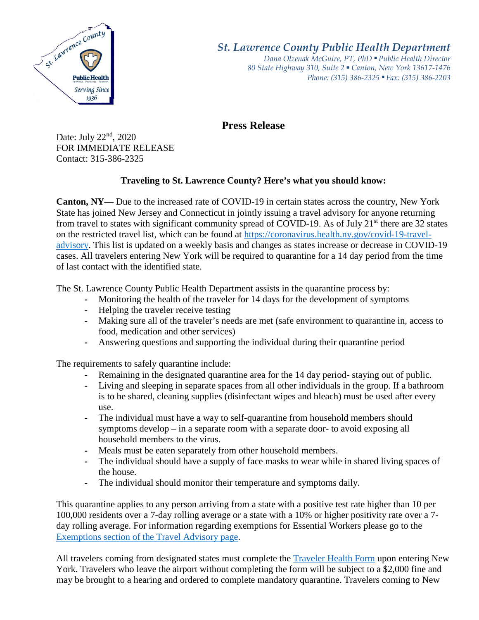

*St. Lawrence County Public Health Department*

*Dana Olzenak McGuire, PT, PhD ■ Public Health Director 80 State Highway 310, Suite 2 ■ Canton, New York 13617-1476 Phone: (315) 386-2325* ■ *Fax: (315) 386-2203*

## **Press Release**

Date: July 22<sup>nd</sup>, 2020 FOR IMMEDIATE RELEASE Contact: 315-386-2325

## **Traveling to St. Lawrence County? Here's what you should know:**

**Canton, NY—** Due to the increased rate of COVID-19 in certain states across the country, New York State has joined New Jersey and Connecticut in jointly issuing a travel advisory for anyone returning from travel to states with significant community spread of COVID-19. As of July 21<sup>st</sup> there are 32 states on the restricted travel list, which can be found at [https://coronavirus.health.ny.gov/covid-19-travel](https://coronavirus.health.ny.gov/covid-19-travel-advisory)[advisory.](https://coronavirus.health.ny.gov/covid-19-travel-advisory) This list is updated on a weekly basis and changes as states increase or decrease in COVID-19 cases. All travelers entering New York will be required to quarantine for a 14 day period from the time of last contact with the identified state.

The St. Lawrence County Public Health Department assists in the quarantine process by:

- **-** Monitoring the health of the traveler for 14 days for the development of symptoms
- **-** Helping the traveler receive testing
- **-** Making sure all of the traveler's needs are met (safe environment to quarantine in, access to food, medication and other services)
- **-** Answering questions and supporting the individual during their quarantine period

The requirements to safely quarantine include:

- **-** Remaining in the designated quarantine area for the 14 day period- staying out of public.
- **-** Living and sleeping in separate spaces from all other individuals in the group. If a bathroom is to be shared, cleaning supplies (disinfectant wipes and bleach) must be used after every use.
- **-** The individual must have a way to self-quarantine from household members should symptoms develop – in a separate room with a separate door- to avoid exposing all household members to the virus.
- **-** Meals must be eaten separately from other household members.
- **-** The individual should have a supply of face masks to wear while in shared living spaces of the house.
- **-** The individual should monitor their temperature and symptoms daily.

This quarantine applies to any person arriving from a state with a positive test rate higher than 10 per 100,000 residents over a 7-day rolling average or a state with a 10% or higher positivity rate over a 7 day rolling average. For information regarding exemptions for Essential Workers please go to the [Exemptions section of the Travel Advisory page.](https://coronavirus.health.ny.gov/covid-19-travel-advisory#exemptions-for-essential-workers)

All travelers coming from designated states must complete the [Traveler Health Form](https://forms.ny.gov/s3/Welcome-to-New-York-State-Traveler-Health-Form) upon entering New York. Travelers who leave the airport without completing the form will be subject to a \$2,000 fine and may be brought to a hearing and ordered to complete mandatory quarantine. Travelers coming to New